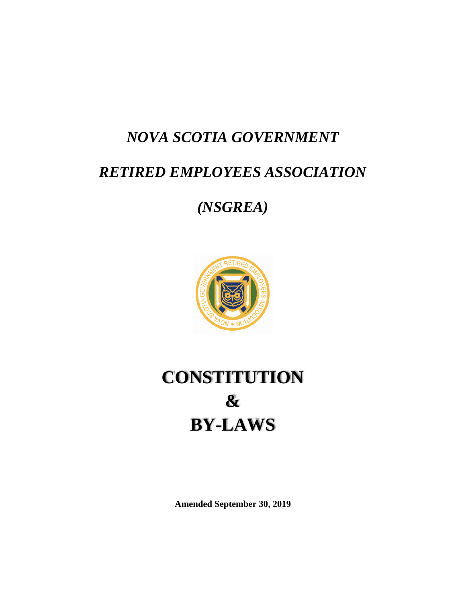# *NOVA SCOTIA GOVERNMENT*

# *RETIRED EMPLOYEES ASSOCIATION*

# *(NSGREA)*



# **CONSTITUTION & BY-LAWS**

**Amended September 30, 2019**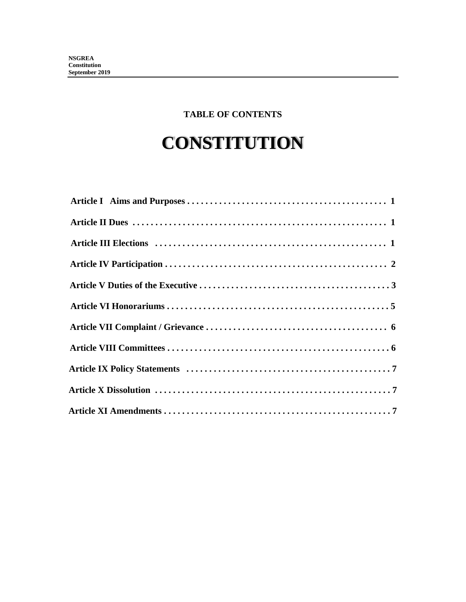# **TABLE OF CONTENTS**

# **CONSTITUTION**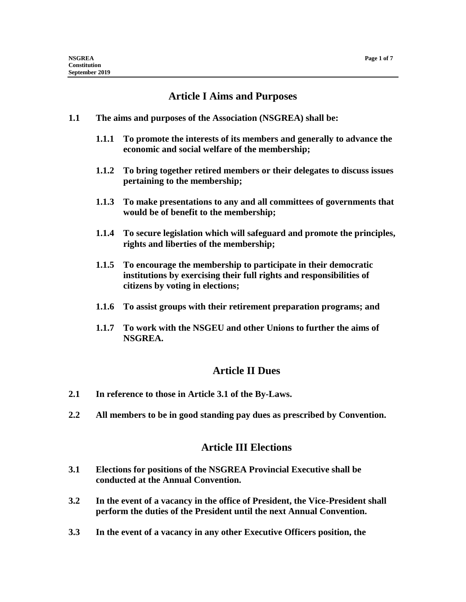# **Article I Aims and Purposes**

- **1.1 The aims and purposes of the Association (NSGREA) shall be:**
	- **1.1.1 To promote the interests of its members and generally to advance the economic and social welfare of the membership;**
	- **1.1.2 To bring together retired members or their delegates to discuss issues pertaining to the membership;**
	- **1.1.3 To make presentations to any and all committees of governments that would be of benefit to the membership;**
	- **1.1.4 To secure legislation which will safeguard and promote the principles, rights and liberties of the membership;**
	- **1.1.5 To encourage the membership to participate in their democratic institutions by exercising their full rights and responsibilities of citizens by voting in elections;**
	- **1.1.6 To assist groups with their retirement preparation programs; and**
	- **1.1.7 To work with the NSGEU and other Unions to further the aims of NSGREA.**

#### **Article II Dues**

- **2.1 In reference to those in Article 3.1 of the By-Laws.**
- **2.2 All members to be in good standing pay dues as prescribed by Convention.**

#### **Article III Elections**

- **3.1 Elections for positions of the NSGREA Provincial Executive shall be conducted at the Annual Convention.**
- **3.2 In the event of a vacancy in the office of President, the Vice-President shall perform the duties of the President until the next Annual Convention.**
- **3.3 In the event of a vacancy in any other Executive Officers position, the**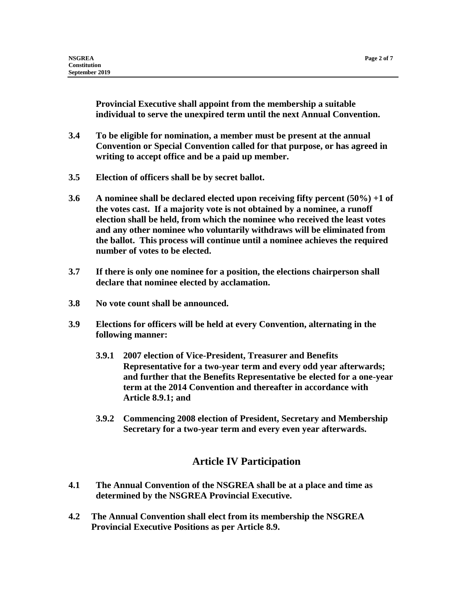**Provincial Executive shall appoint from the membership a suitable individual to serve the unexpired term until the next Annual Convention.**

- **3.4 To be eligible for nomination, a member must be present at the annual Convention or Special Convention called for that purpose, or has agreed in writing to accept office and be a paid up member.**
- **3.5 Election of officers shall be by secret ballot.**
- **3.6 A nominee shall be declared elected upon receiving fifty percent (50%) +1 of the votes cast. If a majority vote is not obtained by a nominee, a runoff election shall be held, from which the nominee who received the least votes and any other nominee who voluntarily withdraws will be eliminated from the ballot. This process will continue until a nominee achieves the required number of votes to be elected.**
- **3.7 If there is only one nominee for a position, the elections chairperson shall declare that nominee elected by acclamation.**
- **3.8 No vote count shall be announced.**
- **3.9 Elections for officers will be held at every Convention, alternating in the following manner:**
	- **3.9.1 2007 election of Vice-President, Treasurer and Benefits Representative for a two-year term and every odd year afterwards; and further that the Benefits Representative be elected for a one-year term at the 2014 Convention and thereafter in accordance with Article 8.9.1; and**
	- **3.9.2 Commencing 2008 election of President, Secretary and Membership Secretary for a two-year term and every even year afterwards.**

# **Article IV Participation**

- **4.1 The Annual Convention of the NSGREA shall be at a place and time as determined by the NSGREA Provincial Executive.**
- **4.2 The Annual Convention shall elect from its membership the NSGREA Provincial Executive Positions as per Article 8.9.**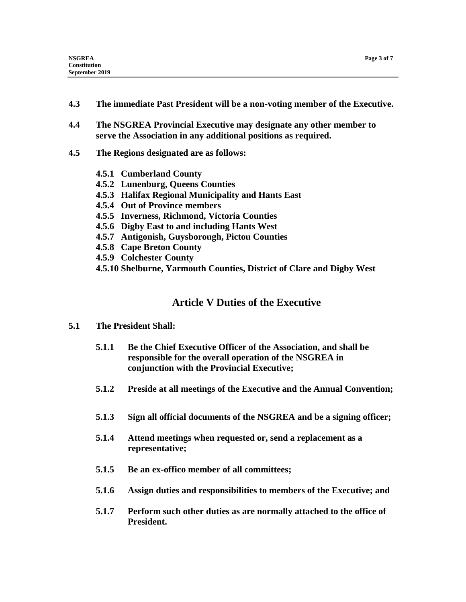- **4.3 The immediate Past President will be a non-voting member of the Executive.**
- **4.4 The NSGREA Provincial Executive may designate any other member to serve the Association in any additional positions as required.**
- **4.5 The Regions designated are as follows:**
	- **4.5.1 Cumberland County**
	- **4.5.2 Lunenburg, Queens Counties**
	- **4.5.3 Halifax Regional Municipality and Hants East**
	- **4.5.4 Out of Province members**
	- **4.5.5 Inverness, Richmond, Victoria Counties**
	- **4.5.6 Digby East to and including Hants West**
	- **4.5.7 Antigonish, Guysborough, Pictou Counties**
	- **4.5.8 Cape Breton County**
	- **4.5.9 Colchester County**
	- **4.5.10 Shelburne, Yarmouth Counties, District of Clare and Digby West**

### **Article V Duties of the Executive**

- **5.1 The President Shall:**
	- **5.1.1 Be the Chief Executive Officer of the Association, and shall be responsible for the overall operation of the NSGREA in conjunction with the Provincial Executive;**
	- **5.1.2 Preside at all meetings of the Executive and the Annual Convention;**
	- **5.1.3 Sign all official documents of the NSGREA and be a signing officer;**
	- **5.1.4 Attend meetings when requested or, send a replacement as a representative;**
	- **5.1.5 Be an ex-offico member of all committees;**
	- **5.1.6 Assign duties and responsibilities to members of the Executive; and**
	- **5.1.7 Perform such other duties as are normally attached to the office of President.**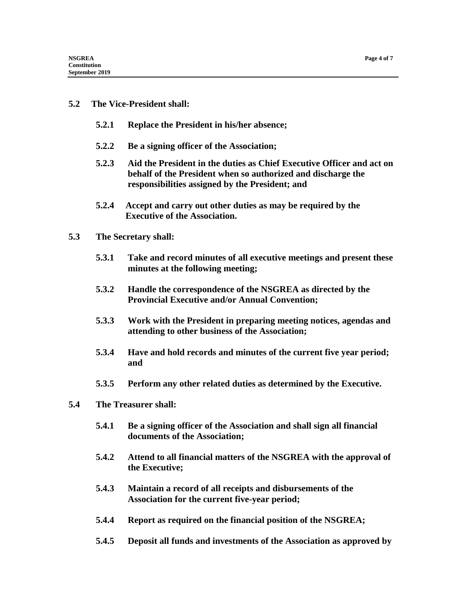#### **5.2 The Vice-President shall:**

- **5.2.1 Replace the President in his/her absence;**
- **5.2.2 Be a signing officer of the Association;**
- **5.2.3 Aid the President in the duties as Chief Executive Officer and act on behalf of the President when so authorized and discharge the responsibilities assigned by the President; and**
- **5.2.4 Accept and carry out other duties as may be required by the Executive of the Association.**
- **5.3 The Secretary shall:**
	- **5.3.1 Take and record minutes of all executive meetings and present these minutes at the following meeting;**
	- **5.3.2 Handle the correspondence of the NSGREA as directed by the Provincial Executive and/or Annual Convention;**
	- **5.3.3 Work with the President in preparing meeting notices, agendas and attending to other business of the Association;**
	- **5.3.4 Have and hold records and minutes of the current five year period; and**
	- **5.3.5 Perform any other related duties as determined by the Executive.**
- **5.4 The Treasurer shall:**
	- **5.4.1 Be a signing officer of the Association and shall sign all financial documents of the Association;**
	- **5.4.2 Attend to all financial matters of the NSGREA with the approval of the Executive;**
	- **5.4.3 Maintain a record of all receipts and disbursements of the Association for the current five-year period;**
	- **5.4.4 Report as required on the financial position of the NSGREA;**
	- **5.4.5 Deposit all funds and investments of the Association as approved by**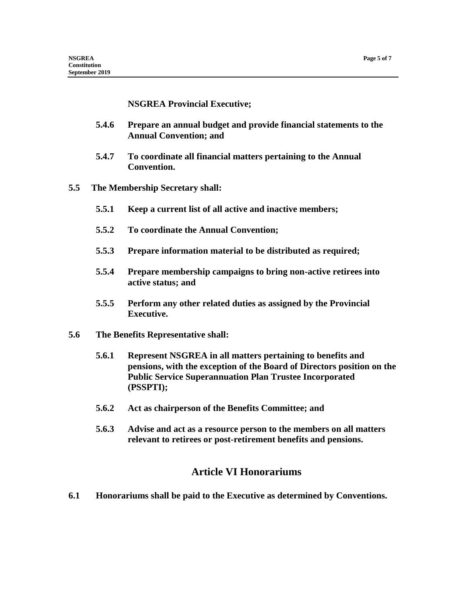#### **NSGREA Provincial Executive;**

- **5.4.6 Prepare an annual budget and provide financial statements to the Annual Convention; and**
- **5.4.7 To coordinate all financial matters pertaining to the Annual Convention.**
- **5.5 The Membership Secretary shall:**
	- **5.5.1 Keep a current list of all active and inactive members;**
	- **5.5.2 To coordinate the Annual Convention;**
	- **5.5.3 Prepare information material to be distributed as required;**
	- **5.5.4 Prepare membership campaigns to bring non-active retirees into active status; and**
	- **5.5.5 Perform any other related duties as assigned by the Provincial Executive.**
- **5.6 The Benefits Representative shall:**
	- **5.6.1 Represent NSGREA in all matters pertaining to benefits and pensions, with the exception of the Board of Directors position on the Public Service Superannuation Plan Trustee Incorporated (PSSPTI);**
	- **5.6.2 Act as chairperson of the Benefits Committee; and**
	- **5.6.3 Advise and act as a resource person to the members on all matters relevant to retirees or post-retirement benefits and pensions.**

### **Article VI Honorariums**

**6.1 Honorariums shall be paid to the Executive as determined by Conventions.**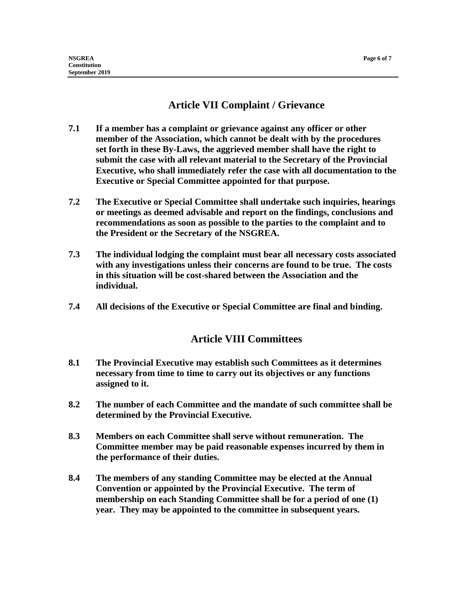# **Article VII Complaint / Grievance**

- **7.1 If a member has a complaint or grievance against any officer or other member of the Association, which cannot be dealt with by the procedures set forth in these By-Laws, the aggrieved member shall have the right to submit the case with all relevant material to the Secretary of the Provincial Executive, who shall immediately refer the case with all documentation to the Executive or Special Committee appointed for that purpose.**
- **7.2 The Executive or Special Committee shall undertake such inquiries, hearings or meetings as deemed advisable and report on the findings, conclusions and recommendations as soon as possible to the parties to the complaint and to the President or the Secretary of the NSGREA.**
- **7.3 The individual lodging the complaint must bear all necessary costs associated with any investigations unless their concerns are found to be true. The costs in this situation will be cost-shared between the Association and the individual.**
- **7.4 All decisions of the Executive or Special Committee are final and binding.**

# **Article VIII Committees**

- **8.1 The Provincial Executive may establish such Committees as it determines necessary from time to time to carry out its objectives or any functions assigned to it.**
- **8.2 The number of each Committee and the mandate of such committee shall be determined by the Provincial Executive.**
- **8.3 Members on each Committee shall serve without remuneration. The Committee member may be paid reasonable expenses incurred by them in the performance of their duties.**
- **8.4 The members of any standing Committee may be elected at the Annual Convention or appointed by the Provincial Executive. The term of membership on each Standing Committee shall be for a period of one (1) year. They may be appointed to the committee in subsequent years.**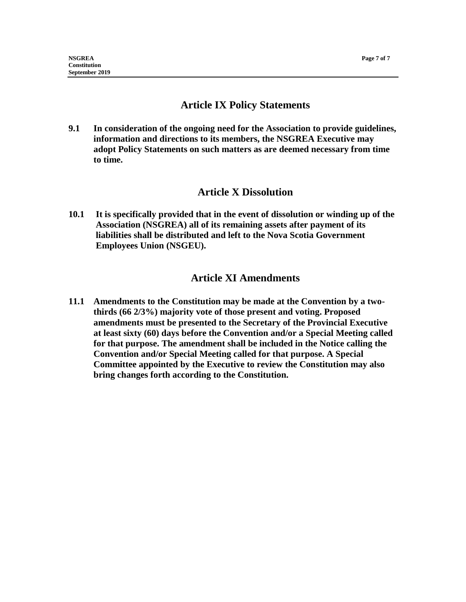### **Article IX Policy Statements**

**9.1 In consideration of the ongoing need for the Association to provide guidelines, information and directions to its members, the NSGREA Executive may adopt Policy Statements on such matters as are deemed necessary from time to time.**

#### **Article X Dissolution**

**10.1 It is specifically provided that in the event of dissolution or winding up of the Association (NSGREA) all of its remaining assets after payment of its liabilities shall be distributed and left to the Nova Scotia Government Employees Union (NSGEU).**

### **Article XI Amendments**

**11.1 Amendments to the Constitution may be made at the Convention by a twothirds (66 2/3%) majority vote of those present and voting. Proposed amendments must be presented to the Secretary of the Provincial Executive at least sixty (60) days before the Convention and/or a Special Meeting called for that purpose. The amendment shall be included in the Notice calling the Convention and/or Special Meeting called for that purpose. A Special Committee appointed by the Executive to review the Constitution may also bring changes forth according to the Constitution.**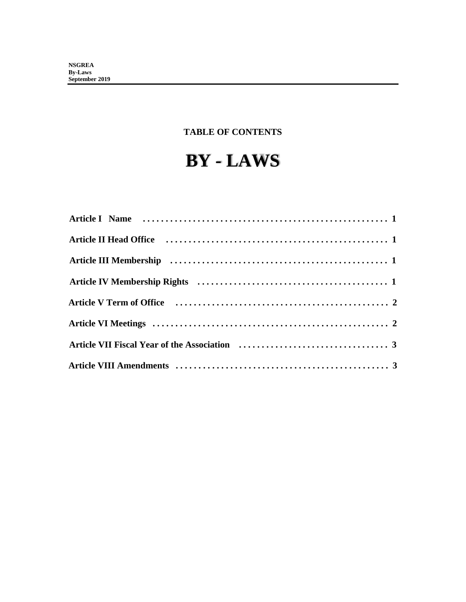# **TABLE OF CONTENTS**

# **BY - LAWS**

| Article V Term of Office (all interactionary contraction of the V Term of Office (all interactions) and the V Term of 2 |  |
|-------------------------------------------------------------------------------------------------------------------------|--|
|                                                                                                                         |  |
|                                                                                                                         |  |
|                                                                                                                         |  |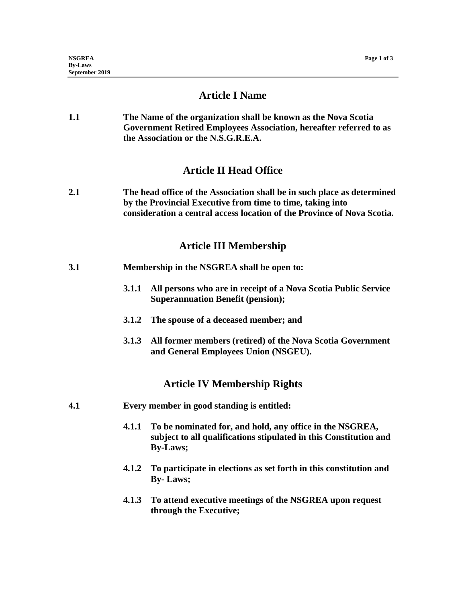#### **Article I Name**

**1.1 The Name of the organization shall be known as the Nova Scotia Government Retired Employees Association, hereafter referred to as the Association or the N.S.G.R.E.A.**

### **Article II Head Office**

**2.1 The head office of the Association shall be in such place as determined by the Provincial Executive from time to time, taking into consideration a central access location of the Province of Nova Scotia.**

#### **Article III Membership**

- **3.1 Membership in the NSGREA shall be open to:**
	- **3.1.1 All persons who are in receipt of a Nova Scotia Public Service Superannuation Benefit (pension);**
	- **3.1.2 The spouse of a deceased member; and**
	- **3.1.3 All former members (retired) of the Nova Scotia Government and General Employees Union (NSGEU).**

#### **Article IV Membership Rights**

- **4.1 Every member in good standing is entitled:**
	- **4.1.1 To be nominated for, and hold, any office in the NSGREA, subject to all qualifications stipulated in this Constitution and By-Laws;**
	- **4.1.2 To participate in elections as set forth in this constitution and By- Laws;**
	- **4.1.3 To attend executive meetings of the NSGREA upon request through the Executive;**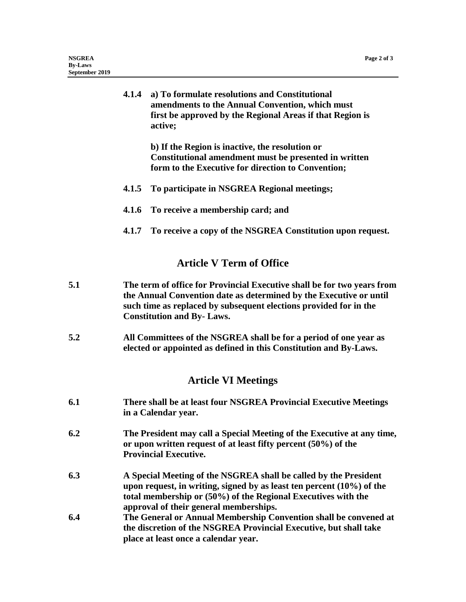|     | active;                                                                                                                                                                                                                                                | 4.1.4 a) To formulate resolutions and Constitutional<br>amendments to the Annual Convention, which must<br>first be approved by the Regional Areas if that Region is                                                                                    |  |
|-----|--------------------------------------------------------------------------------------------------------------------------------------------------------------------------------------------------------------------------------------------------------|---------------------------------------------------------------------------------------------------------------------------------------------------------------------------------------------------------------------------------------------------------|--|
|     |                                                                                                                                                                                                                                                        | b) If the Region is inactive, the resolution or<br>Constitutional amendment must be presented in written<br>form to the Executive for direction to Convention;                                                                                          |  |
|     | 4.1.5                                                                                                                                                                                                                                                  | To participate in NSGREA Regional meetings;                                                                                                                                                                                                             |  |
|     | 4.1.6                                                                                                                                                                                                                                                  | To receive a membership card; and                                                                                                                                                                                                                       |  |
|     |                                                                                                                                                                                                                                                        | 4.1.7 To receive a copy of the NSGREA Constitution upon request.                                                                                                                                                                                        |  |
|     |                                                                                                                                                                                                                                                        | <b>Article V Term of Office</b>                                                                                                                                                                                                                         |  |
| 5.1 | The term of office for Provincial Executive shall be for two years from<br>the Annual Convention date as determined by the Executive or until<br>such time as replaced by subsequent elections provided for in the<br><b>Constitution and By-Laws.</b> |                                                                                                                                                                                                                                                         |  |
| 5.2 | All Committees of the NSGREA shall be for a period of one year as<br>elected or appointed as defined in this Constitution and By-Laws.                                                                                                                 |                                                                                                                                                                                                                                                         |  |
|     |                                                                                                                                                                                                                                                        | <b>Article VI Meetings</b>                                                                                                                                                                                                                              |  |
| 6.1 | There shall be at least four NSGREA Provincial Executive Meetings<br>in a Calendar year.                                                                                                                                                               |                                                                                                                                                                                                                                                         |  |
| 6.2 | The President may call a Special Meeting of the Executive at any time,<br>or upon written request of at least fifty percent (50%) of the<br><b>Provincial Executive.</b>                                                                               |                                                                                                                                                                                                                                                         |  |
| 6.3 |                                                                                                                                                                                                                                                        | A Special Meeting of the NSGREA shall be called by the President<br>upon request, in writing, signed by as least ten percent $(10\%)$ of the<br>total membership or (50%) of the Regional Executives with the<br>approval of their general memberships. |  |
| 6.4 |                                                                                                                                                                                                                                                        | The General or Annual Membership Convention shall be convened at<br>the discretion of the NSGREA Provincial Executive, but shall take<br>place at least once a calendar year.                                                                           |  |